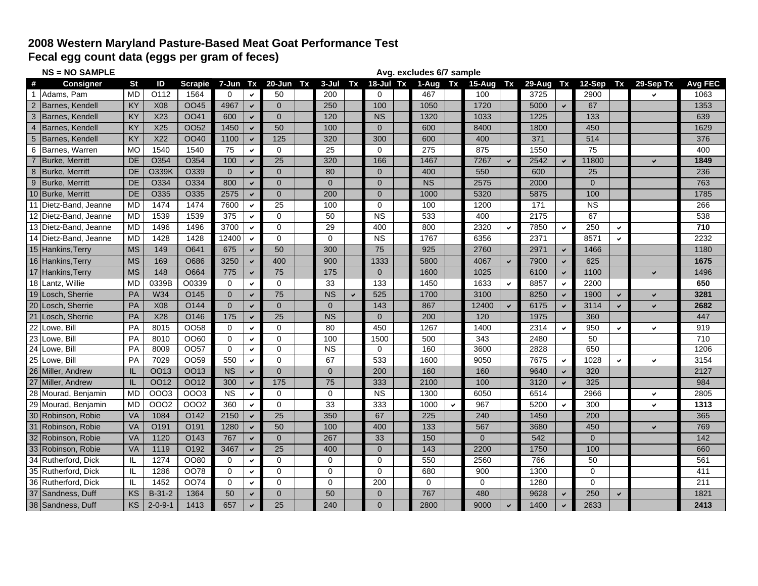## **2008 Western Maryland Pasture-Based Meat Goat Performance Test**

**Fecal egg count data (eggs per gram of feces)**

|                | <b>NS = NO SAMPLE</b>  | Avg. excludes 6/7 sample |                 |                  |                 |              |                 |  |                |    |               |  |           |              |          |              |        |              |                |              |              |         |
|----------------|------------------------|--------------------------|-----------------|------------------|-----------------|--------------|-----------------|--|----------------|----|---------------|--|-----------|--------------|----------|--------------|--------|--------------|----------------|--------------|--------------|---------|
| #              | <b>Consigner</b>       | <b>St</b>                | ID              | Scrapie          | $7 - Jun$       | Tx           | 20-Jun Tx       |  | $3 - J$ ul     | Tx | $18 -$ Jul Tx |  | 1-Aug     | Tx           | $15-Aug$ | <b>Tx</b>    | 29-Aug | Tx           | 12-Sep         | Tx           | 29-Sep Tx    | Avg FEC |
|                | Adams, Pam             | <b>MD</b>                | O112            | 1564             | $\Omega$        | $\checkmark$ | 50              |  | 200            |    | $\Omega$      |  | 467       |              | 100      |              | 3725   |              | 2900           |              |              | 1063    |
| $\overline{2}$ | Barnes, Kendell        | KY                       | <b>X08</b>      | OO45             | 4967            | $\checkmark$ | $\Omega$        |  | 250            |    | 100           |  | 1050      |              | 1720     |              | 5000   | $\checkmark$ | 67             |              |              | 1353    |
| 3              | Barnes, Kendell        | KY                       | X23             | OO41             | 600             | $\checkmark$ | $\Omega$        |  | 120            |    | <b>NS</b>     |  | 1320      |              | 1033     |              | 1225   |              | 133            |              |              | 639     |
|                | Barnes, Kendell        | <b>KY</b>                | X25             | <b>OO52</b>      | 1450            | $\checkmark$ | 50              |  | 100            |    | $\Omega$      |  | 600       |              | 8400     |              | 1800   |              | 450            |              |              | 1629    |
| 5              | <b>Barnes, Kendell</b> | <b>KY</b>                | X22             | <b>OO40</b>      | 1100            | $\checkmark$ | 125             |  | 320            |    | 300           |  | 600       |              | 400      |              | 371    |              | 514            |              |              | 376     |
| 6              | Barnes, Warren         | <b>MO</b>                | 1540            | 1540             | 75              | $\checkmark$ | $\Omega$        |  | 25             |    | $\Omega$      |  | 275       |              | 875      |              | 1550   |              | 75             |              |              | 400     |
|                | Burke, Merritt         | DE                       | O354            | O354             | 100             | $\checkmark$ | $\overline{25}$ |  | 320            |    | 166           |  | 1467      |              | 7267     | $\checkmark$ | 2542   | $\checkmark$ | 11800          |              | U            | 1849    |
| 8              | Burke, Merritt         | DE                       | <b>O339K</b>    | O339             | $\mathbf{0}$    | $\checkmark$ | $\overline{0}$  |  | 80             |    | $\Omega$      |  | 400       |              | 550      |              | 600    |              | 25             |              |              | 236     |
| 9              | Burke, Merritt         | DE                       | O334            | O334             | 800             | $\checkmark$ | $\mathbf{0}$    |  | $\mathbf{0}$   |    | $\Omega$      |  | <b>NS</b> |              | 2575     |              | 2000   |              | $\mathbf{0}$   |              |              | 763     |
|                | 10 Burke, Merritt      | DE                       | O335            | O335             | 2575            | $\checkmark$ | $\Omega$        |  | 200            |    | $\mathbf{0}$  |  | 1000      |              | 5320     |              | 5875   |              | 100            |              |              | 1785    |
|                | 11 Dietz-Band, Jeanne  | <b>MD</b>                | 1474            | 1474             | 7600            | $\checkmark$ | 25              |  | 100            |    | $\Omega$      |  | 100       |              | 1200     |              | 171    |              | <b>NS</b>      |              |              | 266     |
|                | 12 Dietz-Band, Jeanne  | <b>MD</b>                | 1539            | 1539             | 375             | ✔            | $\Omega$        |  | 50             |    | <b>NS</b>     |  | 533       |              | 400      |              | 2175   |              | 67             |              |              | 538     |
|                | 13 Dietz-Band, Jeanne  | <b>MD</b>                | 1496            | 1496             | 3700            | $\checkmark$ | $\Omega$        |  | 29             |    | 400           |  | 800       |              | 2320     | $\checkmark$ | 7850   | $\checkmark$ | 250            | $\checkmark$ |              | 710     |
|                | 14 Dietz-Band, Jeanne  | <b>MD</b>                | 1428            | 1428             | 12400           | $\checkmark$ | $\Omega$        |  | $\Omega$       |    | <b>NS</b>     |  | 1767      |              | 6356     |              | 2371   |              | 8571           | $\checkmark$ |              | 2232    |
|                | 15 Hankins, Terry      | <b>MS</b>                | 149             | O641             | 675             | $\checkmark$ | 50              |  | 300            |    | 75            |  | 925       |              | 2760     |              | 2971   | $\checkmark$ | 1466           |              |              | 1180    |
|                | 16 Hankins, Terry      | <b>MS</b>                | 169             | O686             | 3250            | $\checkmark$ | 400             |  | 900            |    | 1333          |  | 5800      |              | 4067     | $\checkmark$ | 7900   | $\checkmark$ | 625            |              |              | 1675    |
| 17             | Hankins, Terry         | <b>MS</b>                | 148             | O664             | 775             | $\checkmark$ | 75              |  | 175            |    | $\Omega$      |  | 1600      |              | 1025     |              | 6100   | $\checkmark$ | 1100           |              | $\checkmark$ | 1496    |
|                | 18 Lantz, Willie       | <b>MD</b>                | 0339B           | O0339            | $\mathbf 0$     | $\checkmark$ | $\Omega$        |  | 33             |    | 133           |  | 1450      |              | 1633     | $\checkmark$ | 8857   | $\checkmark$ | 2200           |              |              | 650     |
|                | 19 Losch, Sherrie      | PA                       | W34             | O145             | $\overline{0}$  | $\checkmark$ | 75              |  | <b>NS</b>      |    | 525           |  | 1700      |              | 3100     |              | 8250   | $\checkmark$ | 1900           | $\checkmark$ | U            | 3281    |
|                | 20 Losch, Sherrie      | PA                       | <b>X08</b>      | O144             | $\Omega$        | $\checkmark$ | $\Omega$        |  | $\Omega$       |    | 143           |  | 867       |              | 12400    |              | 6175   | $\checkmark$ | 3114           | $\checkmark$ | U            | 2682    |
|                | 21 Losch, Sherrie      | PA                       | X28             | O146             | 175             | $\checkmark$ | 25              |  | <b>NS</b>      |    | $\Omega$      |  | 200       |              | 120      |              | 1975   |              | 360            |              |              | 447     |
| 22             | Lowe, Bill             | PA                       | 8015            | OO58             | $\Omega$        | ✓            | $\Omega$        |  | 80             |    | 450           |  | 1267      |              | 1400     |              | 2314   | $\checkmark$ | 950            | $\checkmark$ | ◡            | 919     |
|                | 23 Lowe, Bill          | PA                       | 8010            | OO60             | $\Omega$        | $\checkmark$ | $\Omega$        |  | 100            |    | 1500          |  | 500       |              | 343      |              | 2480   |              | 50             |              |              | 710     |
| 24             | Lowe, Bill             | PA                       | 8009            | 0057             | 0               | $\checkmark$ | $\mathbf 0$     |  | <b>NS</b>      |    | 0             |  | 160       |              | 3600     |              | 2828   |              | 650            |              |              | 1206    |
|                | 25 Lowe, Bill          | PA                       | 7029            | OO <sub>59</sub> | 550             | $\checkmark$ | $\Omega$        |  | 67             |    | 533           |  | 1600      |              | 9050     |              | 7675   | $\checkmark$ | 1028           | $\checkmark$ | $\checkmark$ | 3154    |
|                | 26 Miller, Andrew      | IL.                      | <b>OO13</b>     | <b>OO13</b>      | <b>NS</b>       | $\checkmark$ | $\Omega$        |  | $\overline{0}$ |    | 200           |  | 160       |              | 160      |              | 9640   | $\checkmark$ | 320            |              |              | 2127    |
|                | 27 Miller, Andrew      | IL.                      | <b>OO12</b>     | OO12             | 300             | $\checkmark$ | 175             |  | 75             |    | 333           |  | 2100      |              | 100      |              | 3120   | $\checkmark$ | 325            |              |              | 984     |
|                | 28 Mourad, Benjamin    | MD                       | <b>OOO3</b>     | 0003             | $\overline{NS}$ | $\checkmark$ | $\Omega$        |  | $\Omega$       |    | <b>NS</b>     |  | 1300      |              | 6050     |              | 6514   |              | 2966           |              | ✓            | 2805    |
|                | 29 Mourad, Benjamin    | MD                       | 0002            | <b>OOO2</b>      | 360             | ✓            | $\Omega$        |  | 33             |    | 333           |  | 1000      | $\checkmark$ | 967      |              | 5200   | $\checkmark$ | 300            |              | $\checkmark$ | 1313    |
|                | 30 Robinson, Robie     | <b>VA</b>                | 1084            | O142             | 2150            | $\checkmark$ | 25              |  | 350            |    | 67            |  | 225       |              | 240      |              | 1450   |              | 200            |              |              | 365     |
|                | 31 Robinson, Robie     | VA                       | O191            | O <sub>191</sub> | 1280            | $\checkmark$ | 50              |  | 100            |    | 400           |  | 133       |              | 567      |              | 3680   |              | 450            |              | ✓            | 769     |
| 32             | Robinson, Robie        | <b>VA</b>                | 1120            | O143             | 767             | $\checkmark$ | $\overline{0}$  |  | 267            |    | 33            |  | 150       |              | $\Omega$ |              | 542    |              | $\overline{0}$ |              |              | 142     |
| 33             | Robinson, Robie        | <b>VA</b>                | 1119            | O192             | 3467            | $\checkmark$ | 25              |  | 400            |    | $\Omega$      |  | 143       |              | 2200     |              | 1750   |              | 100            |              |              | 660     |
|                | 34 Rutherford, Dick    | IL                       | 1274            | OO80             | $\Omega$        | $\checkmark$ | $\Omega$        |  | 0              |    | $\Omega$      |  | 550       |              | 2560     |              | 766    |              | 50             |              |              | 561     |
|                | 35 Rutherford, Dick    | IL.                      | 1286            | OO78             | 0               | $\checkmark$ | $\mathbf 0$     |  | 0              |    | $\mathbf 0$   |  | 680       |              | 900      |              | 1300   |              | $\mathbf 0$    |              |              | 411     |
|                | 36 Rutherford, Dick    | IL                       | 1452            | <b>OO74</b>      | $\Omega$        | $\checkmark$ | 0               |  | $\Omega$       |    | 200           |  | 0         |              | $\Omega$ |              | 1280   |              | $\Omega$       |              |              | 211     |
|                | 37 Sandness, Duff      | KS                       | $B-31-2$        | 1364             | 50              | $\checkmark$ | $\Omega$        |  | 50             |    | $\Omega$      |  | 767       |              | 480      |              | 9628   |              | 250            | $\checkmark$ |              | 1821    |
|                | 38 Sandness, Duff      | KS                       | $2 - 0 - 9 - 1$ | 1413             | 657             | $\checkmark$ | 25              |  | 240            |    | $\Omega$      |  | 2800      |              | 9000     |              | 1400   | $\checkmark$ | 2633           |              |              | 2413    |